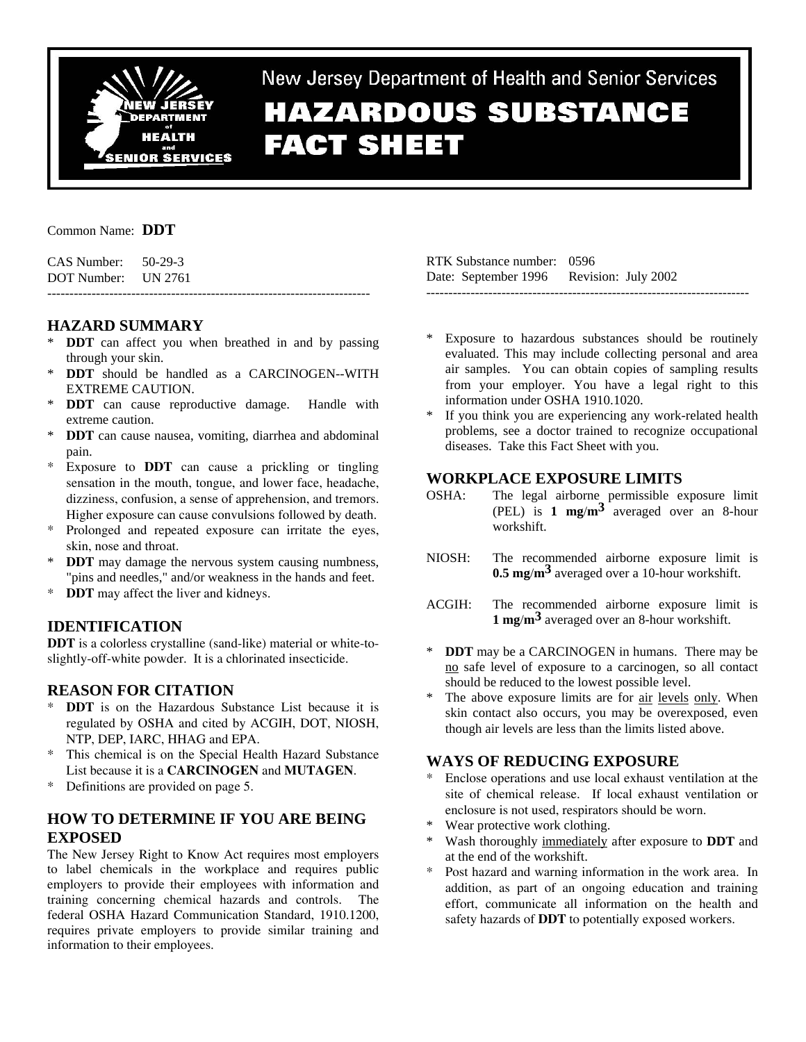

New Jersey Department of Health and Senior Services

# **HAZARDOUS SUBSTANCE FACT SHEET**

## Common Name: **DDT**

CAS Number: 50-29-3 DOT Number: UN 2761 -------------------------------------------------------------------------

# **HAZARD SUMMARY**

- \* **DDT** can affect you when breathed in and by passing through your skin.
- **DDT** should be handled as a CARCINOGEN--WITH EXTREME CAUTION.
- **DDT** can cause reproductive damage. Handle with extreme caution.
- \* **DDT** can cause nausea, vomiting, diarrhea and abdominal pain.
- \* Exposure to **DDT** can cause a prickling or tingling sensation in the mouth, tongue, and lower face, headache, dizziness, confusion, a sense of apprehension, and tremors. Higher exposure can cause convulsions followed by death.
- \* Prolonged and repeated exposure can irritate the eyes, skin, nose and throat.
- **DDT** may damage the nervous system causing numbness, "pins and needles," and/or weakness in the hands and feet.
- \* **DDT** may affect the liver and kidneys.

# **IDENTIFICATION**

**DDT** is a colorless crystalline (sand-like) material or white-toslightly-off-white powder. It is a chlorinated insecticide.

# **REASON FOR CITATION**

- **DDT** is on the Hazardous Substance List because it is regulated by OSHA and cited by ACGIH, DOT, NIOSH, NTP, DEP, IARC, HHAG and EPA.
- \* This chemical is on the Special Health Hazard Substance List because it is a **CARCINOGEN** and **MUTAGEN**.
- \* Definitions are provided on page 5.

## **HOW TO DETERMINE IF YOU ARE BEING EXPOSED**

The New Jersey Right to Know Act requires most employers to label chemicals in the workplace and requires public employers to provide their employees with information and training concerning chemical hazards and controls. The federal OSHA Hazard Communication Standard, 1910.1200, requires private employers to provide similar training and information to their employees.

RTK Substance number: 0596 Date: September 1996 Revision: July 2002 -------------------------------------------------------------------------

- Exposure to hazardous substances should be routinely evaluated. This may include collecting personal and area air samples. You can obtain copies of sampling results from your employer. You have a legal right to this information under OSHA 1910.1020.
- If you think you are experiencing any work-related health problems, see a doctor trained to recognize occupational diseases. Take this Fact Sheet with you.

## **WORKPLACE EXPOSURE LIMITS**

- OSHA: The legal airborne permissible exposure limit (PEL) is **1 mg**/**m3** averaged over an 8-hour workshift.
- NIOSH: The recommended airborne exposure limit is **0.5 mg**/**m3** averaged over a 10-hour workshift.
- ACGIH: The recommended airborne exposure limit is **1 mg**/**m3** averaged over an 8-hour workshift.
- **DDT** may be a CARCINOGEN in humans. There may be no safe level of exposure to a carcinogen, so all contact should be reduced to the lowest possible level.
- The above exposure limits are for air levels only. When skin contact also occurs, you may be overexposed, even though air levels are less than the limits listed above.

# **WAYS OF REDUCING EXPOSURE**

- Enclose operations and use local exhaust ventilation at the site of chemical release. If local exhaust ventilation or enclosure is not used, respirators should be worn.
- Wear protective work clothing.
- Wash thoroughly immediately after exposure to **DDT** and at the end of the workshift.
- Post hazard and warning information in the work area. In addition, as part of an ongoing education and training effort, communicate all information on the health and safety hazards of **DDT** to potentially exposed workers.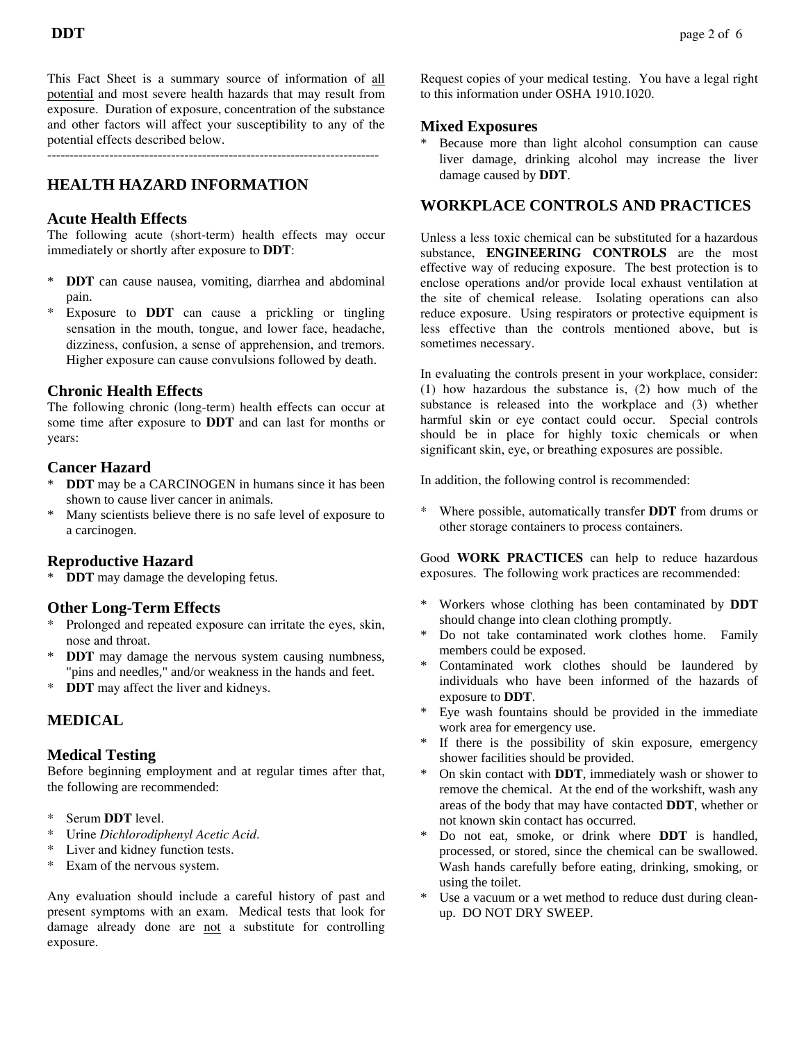This Fact Sheet is a summary source of information of all potential and most severe health hazards that may result from exposure. Duration of exposure, concentration of the substance and other factors will affect your susceptibility to any of the potential effects described below.

---------------------------------------------------------------------------

# **HEALTH HAZARD INFORMATION**

## **Acute Health Effects**

The following acute (short-term) health effects may occur immediately or shortly after exposure to **DDT**:

- \* **DDT** can cause nausea, vomiting, diarrhea and abdominal pain.
- Exposure to **DDT** can cause a prickling or tingling sensation in the mouth, tongue, and lower face, headache, dizziness, confusion, a sense of apprehension, and tremors. Higher exposure can cause convulsions followed by death.

## **Chronic Health Effects**

The following chronic (long-term) health effects can occur at some time after exposure to **DDT** and can last for months or years:

## **Cancer Hazard**

- **DDT** may be a CARCINOGEN in humans since it has been shown to cause liver cancer in animals.
- \* Many scientists believe there is no safe level of exposure to a carcinogen.

## **Reproductive Hazard**

\* **DDT** may damage the developing fetus.

## **Other Long-Term Effects**

- Prolonged and repeated exposure can irritate the eyes, skin, nose and throat.
- \* **DDT** may damage the nervous system causing numbness, "pins and needles," and/or weakness in the hands and feet.
- \* **DDT** may affect the liver and kidneys.

# **MEDICAL**

#### **Medical Testing**

Before beginning employment and at regular times after that, the following are recommended:

- Serum **DDT** level.
- \* Urine *Dichlorodiphenyl Acetic Acid*.
- \* Liver and kidney function tests.
- \* Exam of the nervous system.

Any evaluation should include a careful history of past and present symptoms with an exam. Medical tests that look for damage already done are not a substitute for controlling exposure.

Request copies of your medical testing. You have a legal right to this information under OSHA 1910.1020.

## **Mixed Exposures**

Because more than light alcohol consumption can cause liver damage, drinking alcohol may increase the liver damage caused by **DDT**.

## **WORKPLACE CONTROLS AND PRACTICES**

Unless a less toxic chemical can be substituted for a hazardous substance, **ENGINEERING CONTROLS** are the most effective way of reducing exposure. The best protection is to enclose operations and/or provide local exhaust ventilation at the site of chemical release. Isolating operations can also reduce exposure. Using respirators or protective equipment is less effective than the controls mentioned above, but is sometimes necessary.

In evaluating the controls present in your workplace, consider: (1) how hazardous the substance is, (2) how much of the substance is released into the workplace and (3) whether harmful skin or eye contact could occur. Special controls should be in place for highly toxic chemicals or when significant skin, eye, or breathing exposures are possible.

In addition, the following control is recommended:

Where possible, automatically transfer **DDT** from drums or other storage containers to process containers.

Good **WORK PRACTICES** can help to reduce hazardous exposures. The following work practices are recommended:

- \* Workers whose clothing has been contaminated by **DDT** should change into clean clothing promptly.
- \* Do not take contaminated work clothes home. Family members could be exposed.
- Contaminated work clothes should be laundered by individuals who have been informed of the hazards of exposure to **DDT**.
- \* Eye wash fountains should be provided in the immediate work area for emergency use.
- \* If there is the possibility of skin exposure, emergency shower facilities should be provided.
- \* On skin contact with **DDT**, immediately wash or shower to remove the chemical. At the end of the workshift, wash any areas of the body that may have contacted **DDT**, whether or not known skin contact has occurred.
- Do not eat, smoke, or drink where **DDT** is handled, processed, or stored, since the chemical can be swallowed. Wash hands carefully before eating, drinking, smoking, or using the toilet.
- Use a vacuum or a wet method to reduce dust during cleanup. DO NOT DRY SWEEP.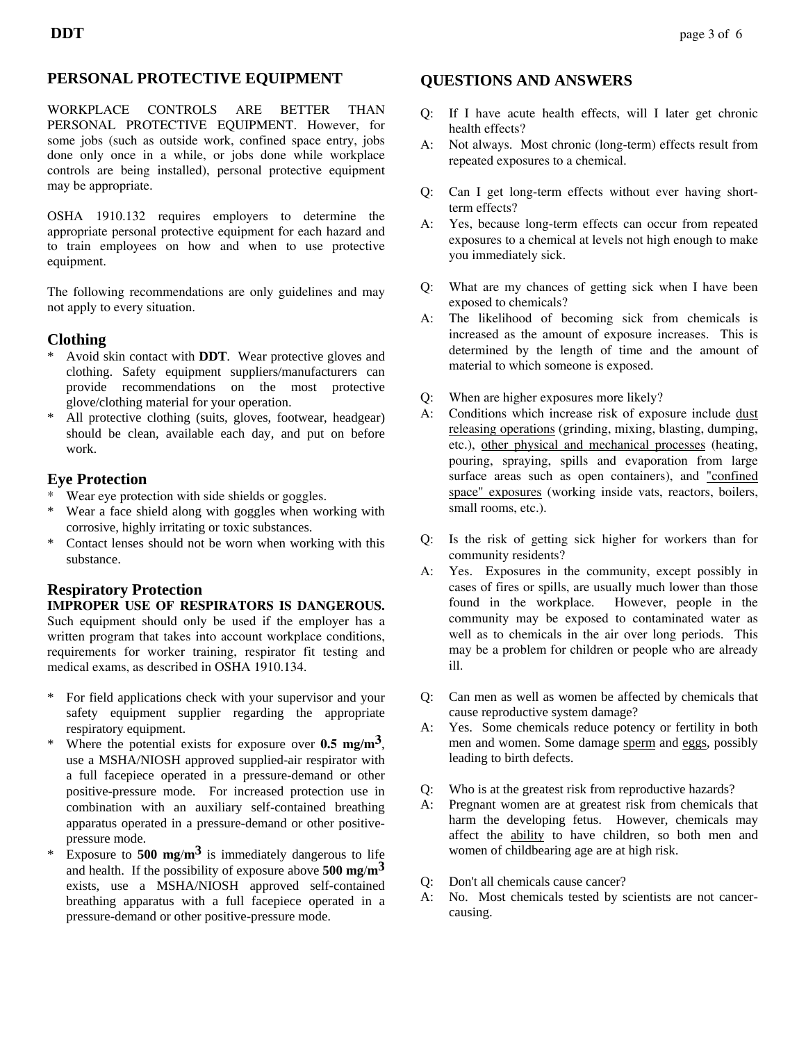### **PERSONAL PROTECTIVE EQUIPMENT**

WORKPLACE CONTROLS ARE BETTER THAN PERSONAL PROTECTIVE EQUIPMENT. However, for some jobs (such as outside work, confined space entry, jobs done only once in a while, or jobs done while workplace controls are being installed), personal protective equipment may be appropriate.

OSHA 1910.132 requires employers to determine the appropriate personal protective equipment for each hazard and to train employees on how and when to use protective equipment.

The following recommendations are only guidelines and may not apply to every situation.

#### **Clothing**

- \* Avoid skin contact with **DDT**. Wear protective gloves and clothing. Safety equipment suppliers/manufacturers can provide recommendations on the most protective glove/clothing material for your operation.
- All protective clothing (suits, gloves, footwear, headgear) should be clean, available each day, and put on before work.

#### **Eye Protection**

- \* Wear eye protection with side shields or goggles.
- Wear a face shield along with goggles when working with corrosive, highly irritating or toxic substances.
- \* Contact lenses should not be worn when working with this substance.

## **Respiratory Protection**

**IMPROPER USE OF RESPIRATORS IS DANGEROUS.** Such equipment should only be used if the employer has a written program that takes into account workplace conditions, requirements for worker training, respirator fit testing and medical exams, as described in OSHA 1910.134.

- \* For field applications check with your supervisor and your safety equipment supplier regarding the appropriate respiratory equipment.
- \* Where the potential exists for exposure over **0.5 mg**/**m3**, use a MSHA/NIOSH approved supplied-air respirator with a full facepiece operated in a pressure-demand or other positive-pressure mode. For increased protection use in combination with an auxiliary self-contained breathing apparatus operated in a pressure-demand or other positivepressure mode.
- \* Exposure to **500 mg**/**m3** is immediately dangerous to life and health. If the possibility of exposure above **500 mg**/**m3** exists, use a MSHA/NIOSH approved self-contained breathing apparatus with a full facepiece operated in a pressure-demand or other positive-pressure mode.

## **QUESTIONS AND ANSWERS**

- Q: If I have acute health effects, will I later get chronic health effects?
- A: Not always. Most chronic (long-term) effects result from repeated exposures to a chemical.
- Q: Can I get long-term effects without ever having shortterm effects?
- A: Yes, because long-term effects can occur from repeated exposures to a chemical at levels not high enough to make you immediately sick.
- Q: What are my chances of getting sick when I have been exposed to chemicals?
- A: The likelihood of becoming sick from chemicals is increased as the amount of exposure increases. This is determined by the length of time and the amount of material to which someone is exposed.
- Q: When are higher exposures more likely?
- A: Conditions which increase risk of exposure include dust releasing operations (grinding, mixing, blasting, dumping, etc.), other physical and mechanical processes (heating, pouring, spraying, spills and evaporation from large surface areas such as open containers), and "confined space" exposures (working inside vats, reactors, boilers, small rooms, etc.).
- Q: Is the risk of getting sick higher for workers than for community residents?
- A: Yes. Exposures in the community, except possibly in cases of fires or spills, are usually much lower than those found in the workplace. However, people in the community may be exposed to contaminated water as well as to chemicals in the air over long periods. This may be a problem for children or people who are already ill.
- Q: Can men as well as women be affected by chemicals that cause reproductive system damage?
- A: Yes. Some chemicals reduce potency or fertility in both men and women. Some damage sperm and eggs, possibly leading to birth defects.
- Q: Who is at the greatest risk from reproductive hazards?
- A: Pregnant women are at greatest risk from chemicals that harm the developing fetus. However, chemicals may affect the ability to have children, so both men and women of childbearing age are at high risk.
- Q: Don't all chemicals cause cancer?
- A: No. Most chemicals tested by scientists are not cancercausing.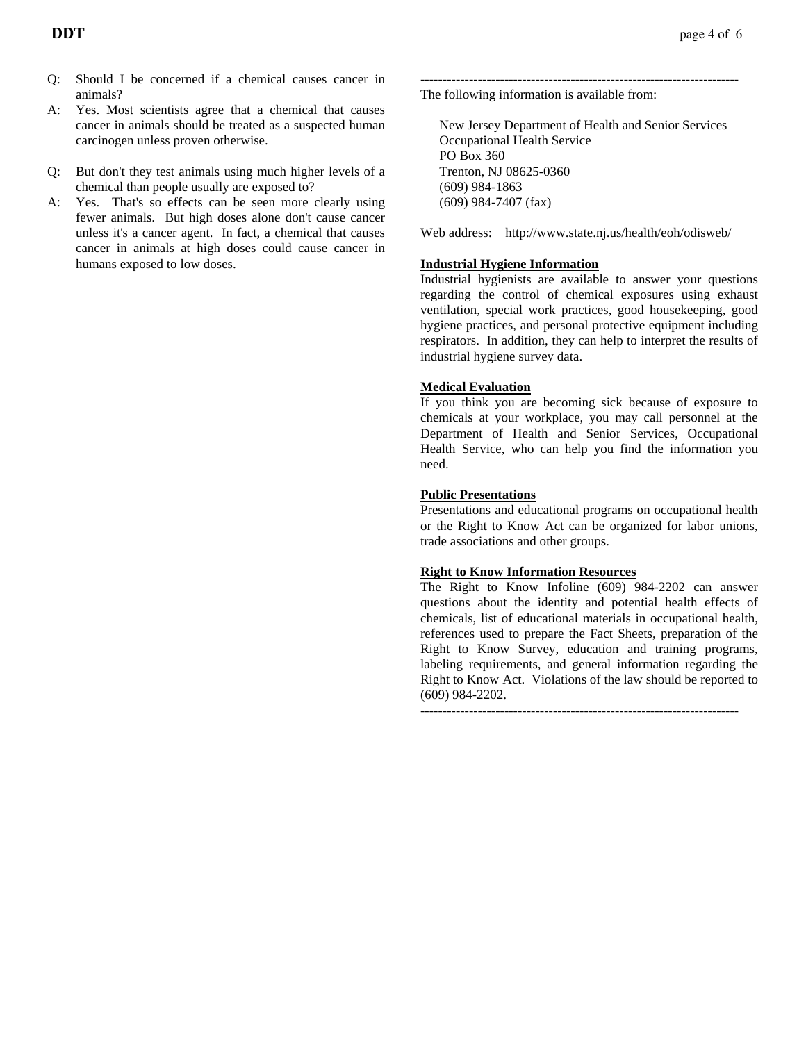- Q: Should I be concerned if a chemical causes cancer in animals?
- A: Yes. Most scientists agree that a chemical that causes cancer in animals should be treated as a suspected human carcinogen unless proven otherwise.
- Q: But don't they test animals using much higher levels of a chemical than people usually are exposed to?
- A: Yes. That's so effects can be seen more clearly using fewer animals. But high doses alone don't cause cancer unless it's a cancer agent. In fact, a chemical that causes cancer in animals at high doses could cause cancer in humans exposed to low doses.

------------------------------------------------------------------------ The following information is available from:

 New Jersey Department of Health and Senior Services Occupational Health Service PO Box 360 Trenton, NJ 08625-0360 (609) 984-1863 (609) 984-7407 (fax)

Web address: http://www.state.nj.us/health/eoh/odisweb/

#### **Industrial Hygiene Information**

Industrial hygienists are available to answer your questions regarding the control of chemical exposures using exhaust ventilation, special work practices, good housekeeping, good hygiene practices, and personal protective equipment including respirators. In addition, they can help to interpret the results of industrial hygiene survey data.

#### **Medical Evaluation**

If you think you are becoming sick because of exposure to chemicals at your workplace, you may call personnel at the Department of Health and Senior Services, Occupational Health Service, who can help you find the information you need.

#### **Public Presentations**

Presentations and educational programs on occupational health or the Right to Know Act can be organized for labor unions, trade associations and other groups.

#### **Right to Know Information Resources**

The Right to Know Infoline (609) 984-2202 can answer questions about the identity and potential health effects of chemicals, list of educational materials in occupational health, references used to prepare the Fact Sheets, preparation of the Right to Know Survey, education and training programs, labeling requirements, and general information regarding the Right to Know Act. Violations of the law should be reported to (609) 984-2202.

------------------------------------------------------------------------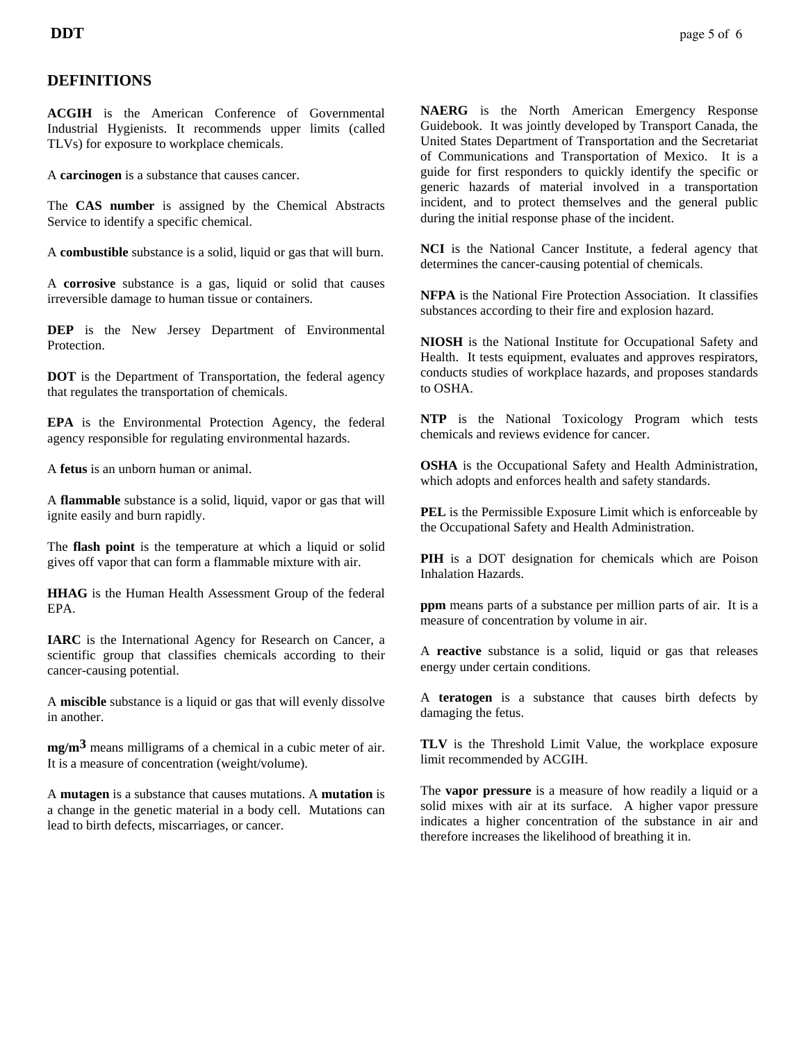## **DEFINITIONS**

**ACGIH** is the American Conference of Governmental Industrial Hygienists. It recommends upper limits (called TLVs) for exposure to workplace chemicals.

A **carcinogen** is a substance that causes cancer.

The **CAS number** is assigned by the Chemical Abstracts Service to identify a specific chemical.

A **combustible** substance is a solid, liquid or gas that will burn.

A **corrosive** substance is a gas, liquid or solid that causes irreversible damage to human tissue or containers.

**DEP** is the New Jersey Department of Environmental **Protection** 

**DOT** is the Department of Transportation, the federal agency that regulates the transportation of chemicals.

**EPA** is the Environmental Protection Agency, the federal agency responsible for regulating environmental hazards.

A **fetus** is an unborn human or animal.

A **flammable** substance is a solid, liquid, vapor or gas that will ignite easily and burn rapidly.

The **flash point** is the temperature at which a liquid or solid gives off vapor that can form a flammable mixture with air.

**HHAG** is the Human Health Assessment Group of the federal EPA.

**IARC** is the International Agency for Research on Cancer, a scientific group that classifies chemicals according to their cancer-causing potential.

A **miscible** substance is a liquid or gas that will evenly dissolve in another.

**mg/m3** means milligrams of a chemical in a cubic meter of air. It is a measure of concentration (weight/volume).

A **mutagen** is a substance that causes mutations. A **mutation** is a change in the genetic material in a body cell. Mutations can lead to birth defects, miscarriages, or cancer.

**NAERG** is the North American Emergency Response Guidebook. It was jointly developed by Transport Canada, the United States Department of Transportation and the Secretariat of Communications and Transportation of Mexico. It is a guide for first responders to quickly identify the specific or generic hazards of material involved in a transportation incident, and to protect themselves and the general public during the initial response phase of the incident.

**NCI** is the National Cancer Institute, a federal agency that determines the cancer-causing potential of chemicals.

**NFPA** is the National Fire Protection Association. It classifies substances according to their fire and explosion hazard.

**NIOSH** is the National Institute for Occupational Safety and Health. It tests equipment, evaluates and approves respirators, conducts studies of workplace hazards, and proposes standards to OSHA.

**NTP** is the National Toxicology Program which tests chemicals and reviews evidence for cancer.

**OSHA** is the Occupational Safety and Health Administration, which adopts and enforces health and safety standards.

**PEL** is the Permissible Exposure Limit which is enforceable by the Occupational Safety and Health Administration.

**PIH** is a DOT designation for chemicals which are Poison Inhalation Hazards.

**ppm** means parts of a substance per million parts of air. It is a measure of concentration by volume in air.

A **reactive** substance is a solid, liquid or gas that releases energy under certain conditions.

A **teratogen** is a substance that causes birth defects by damaging the fetus.

**TLV** is the Threshold Limit Value, the workplace exposure limit recommended by ACGIH.

The **vapor pressure** is a measure of how readily a liquid or a solid mixes with air at its surface. A higher vapor pressure indicates a higher concentration of the substance in air and therefore increases the likelihood of breathing it in.